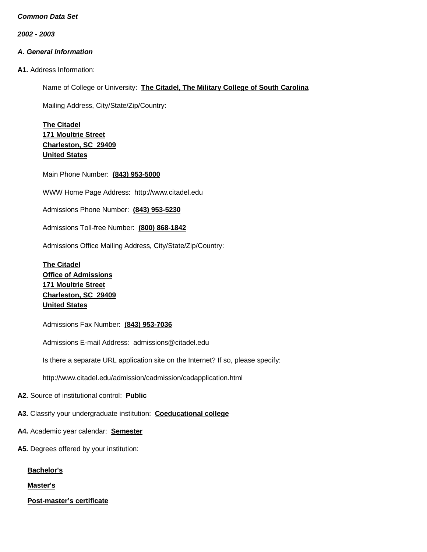*2002 - 2003*

# *A. General Information*

**A1.** Address Information:

Name of College or University: **The Citadel, The Military College of South Carolina**

Mailing Address, City/State/Zip/Country:

**The Citadel 171 Moultrie Street Charleston, SC 29409 United States**

Main Phone Number: **(843) 953-5000**

WWW Home Page Address: [http://www.citadel.edu](http://www.citadel.edu/)

Admissions Phone Number: **(843) 953-5230**

Admissions Toll-free Number: **(800) 868-1842**

Admissions Office Mailing Address, City/State/Zip/Country:

**The Citadel Office of Admissions 171 Moultrie Street Charleston, SC 29409 United States**

Admissions Fax Number: **(843) 953-7036**

Admissions E-mail Address: [admissions@citadel.edu](mailto:admissions@citadel.edu)

Is there a separate URL application site on the Internet? If so, please specify:

<http://www.citadel.edu/admission/cadmission/cadapplication.html>

**A2.** Source of institutional control: **Public**

**A3.** Classify your undergraduate institution: **Coeducational college**

- **A4.** Academic year calendar: **Semester**
- **A5.** Degrees offered by your institution:

**Bachelor's**

**Master's**

**Post-master's certificate**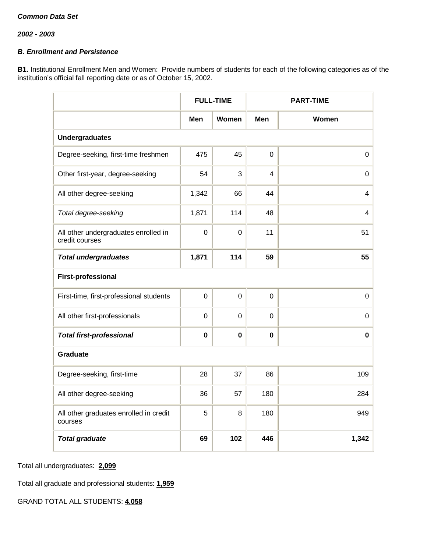# *B. Enrollment and Persistence*

**B1.** Institutional Enrollment Men and Women: Provide numbers of students for each of the following categories as of the institution's official fall reporting date or as of October 15, 2002.

|                                                        |             | <b>FULL-TIME</b> |                | <b>PART-TIME</b> |  |  |  |
|--------------------------------------------------------|-------------|------------------|----------------|------------------|--|--|--|
|                                                        | Men         | Women            | Men            | Women            |  |  |  |
| <b>Undergraduates</b>                                  |             |                  |                |                  |  |  |  |
| Degree-seeking, first-time freshmen                    | 475         | 45               | $\overline{0}$ | $\boldsymbol{0}$ |  |  |  |
| Other first-year, degree-seeking                       | 54          | 3                | 4              | 0                |  |  |  |
| All other degree-seeking                               | 1,342       | 66               | 44             | 4                |  |  |  |
| Total degree-seeking                                   | 1,871       | 114              | 48             | 4                |  |  |  |
| All other undergraduates enrolled in<br>credit courses | $\mathbf 0$ | $\mathbf 0$      | 11             | 51               |  |  |  |
| <b>Total undergraduates</b>                            | 1,871       | 114              | 59             | 55               |  |  |  |
| <b>First-professional</b>                              |             |                  |                |                  |  |  |  |
| First-time, first-professional students                | $\mathbf 0$ | $\mathbf 0$      | $\mathbf 0$    | $\mathbf 0$      |  |  |  |
| All other first-professionals                          | $\mathbf 0$ | $\mathbf 0$      | $\mathbf 0$    | 0                |  |  |  |
| <b>Total first-professional</b>                        | $\bf{0}$    | $\bf{0}$         | $\bf{0}$       | $\mathbf 0$      |  |  |  |
| <b>Graduate</b>                                        |             |                  |                |                  |  |  |  |
| Degree-seeking, first-time                             | 28          | 37               | 86             | 109              |  |  |  |
| All other degree-seeking                               | 36          | 57               | 180            | 284              |  |  |  |
| All other graduates enrolled in credit<br>courses      | 5           | 8                | 180            | 949              |  |  |  |
| <b>Total graduate</b>                                  | 69          | 102              | 446            | 1,342            |  |  |  |

Total all undergraduates: **2,099**

Total all graduate and professional students: **1,959**

GRAND TOTAL ALL STUDENTS: **4,058**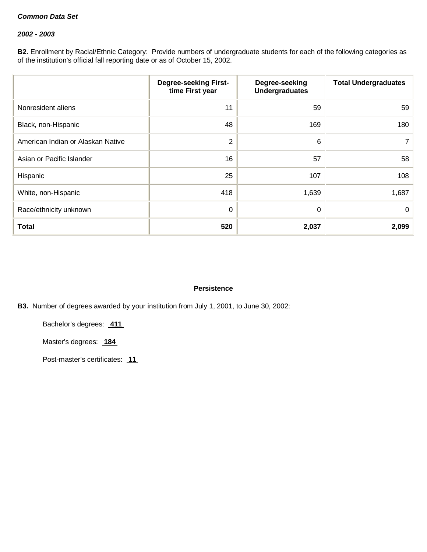### *2002 - 2003*

**B2.** Enrollment by Racial/Ethnic Category: Provide numbers of undergraduate students for each of the following categories as of the institution's official fall reporting date or as of October 15, 2002.

|                                   | <b>Degree-seeking First-</b><br>time First year | Degree-seeking<br><b>Undergraduates</b> | <b>Total Undergraduates</b> |
|-----------------------------------|-------------------------------------------------|-----------------------------------------|-----------------------------|
| Nonresident aliens                | 11                                              | 59                                      | 59                          |
| Black, non-Hispanic               | 48                                              | 169                                     | 180                         |
| American Indian or Alaskan Native | $\overline{2}$                                  | 6                                       |                             |
| Asian or Pacific Islander         | 16                                              | 57                                      | 58                          |
| Hispanic                          | 25                                              | 107                                     | 108                         |
| White, non-Hispanic               | 418                                             | 1,639                                   | 1,687                       |
| Race/ethnicity unknown            | 0                                               | 0                                       | $\mathbf{0}$                |
| <b>Total</b>                      | 520                                             | 2,037                                   | 2,099                       |

# **Persistence**

**B3.** Number of degrees awarded by your institution from July 1, 2001, to June 30, 2002:

Bachelor's degrees: **411**

Master's degrees: **184** 

Post-master's certificates: **11**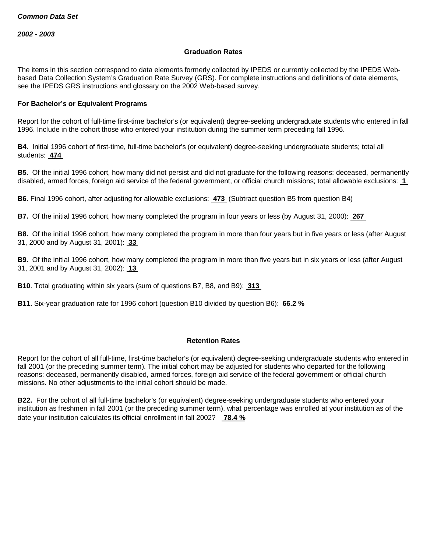#### **Graduation Rates**

The items in this section correspond to data elements formerly collected by IPEDS or currently collected by the IPEDS Webbased Data Collection System's Graduation Rate Survey (GRS). For complete instructions and definitions of data elements, see the IPEDS GRS instructions and glossary on the 2002 Web-based survey.

#### **For Bachelor's or Equivalent Programs**

Report for the cohort of full-time first-time bachelor's (or equivalent) degree-seeking undergraduate students who entered in fall 1996. Include in the cohort those who entered your institution during the summer term preceding fall 1996.

**B4.** Initial 1996 cohort of first-time, full-time bachelor's (or equivalent) degree-seeking undergraduate students; total all students: **474**

**B5.** Of the initial 1996 cohort, how many did not persist and did not graduate for the following reasons: deceased, permanently disabled, armed forces, foreign aid service of the federal government, or official church missions; total allowable exclusions: **1**

**B6.** Final 1996 cohort, after adjusting for allowable exclusions: **473** (Subtract question B5 from question B4)

**B7.** Of the initial 1996 cohort, how many completed the program in four years or less (by August 31, 2000): **267**

**B8.** Of the initial 1996 cohort, how many completed the program in more than four years but in five years or less (after August 31, 2000 and by August 31, 2001): **33**

**B9.** Of the initial 1996 cohort, how many completed the program in more than five years but in six years or less (after August 31, 2001 and by August 31, 2002): **13**

**B10**. Total graduating within six years (sum of questions B7, B8, and B9): **313**

**B11.** Six-year graduation rate for 1996 cohort (question B10 divided by question B6): **66.2 %**

#### **Retention Rates**

Report for the cohort of all full-time, first-time bachelor's (or equivalent) degree-seeking undergraduate students who entered in fall 2001 (or the preceding summer term). The initial cohort may be adjusted for students who departed for the following reasons: deceased, permanently disabled, armed forces, foreign aid service of the federal government or official church missions. No other adjustments to the initial cohort should be made.

**B22.** For the cohort of all full-time bachelor's (or equivalent) degree-seeking undergraduate students who entered your institution as freshmen in fall 2001 (or the preceding summer term), what percentage was enrolled at your institution as of the date your institution calculates its official enrollment in fall 2002? **78.4 %**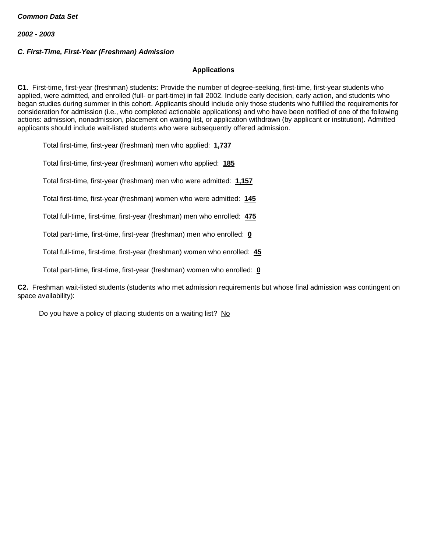## *C. First-Time, First-Year (Freshman) Admission*

#### **Applications**

**C1.** First-time, first-year (freshman) students**:** Provide the number of degree-seeking, first-time, first-year students who applied, were admitted, and enrolled (full- or part-time) in fall 2002. Include early decision, early action, and students who began studies during summer in this cohort. Applicants should include only those students who fulfilled the requirements for consideration for admission (i.e., who completed actionable applications) and who have been notified of one of the following actions: admission, nonadmission, placement on waiting list, or application withdrawn (by applicant or institution). Admitted applicants should include wait-listed students who were subsequently offered admission.

Total first-time, first-year (freshman) men who applied: **1,737**

Total first-time, first-year (freshman) women who applied: **185**

Total first-time, first-year (freshman) men who were admitted: **1,157**

Total first-time, first-year (freshman) women who were admitted: **145**

Total full-time, first-time, first-year (freshman) men who enrolled: **475**

Total part-time, first-time, first-year (freshman) men who enrolled: **0**

Total full-time, first-time, first-year (freshman) women who enrolled: **45**

Total part-time, first-time, first-year (freshman) women who enrolled: **0**

**C2.** Freshman wait-listed students (students who met admission requirements but whose final admission was contingent on space availability):

Do you have a policy of placing students on a waiting list? No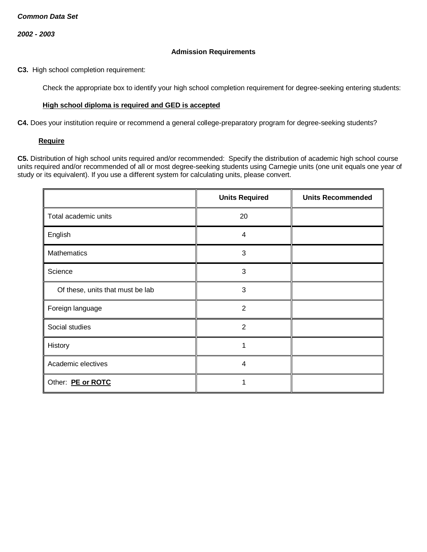#### **Admission Requirements**

**C3.** High school completion requirement:

Check the appropriate box to identify your high school completion requirement for degree-seeking entering students:

# **High school diploma is required and GED is accepted**

**C4.** Does your institution require or recommend a general college-preparatory program for degree-seeking students?

#### **Require**

**C5.** Distribution of high school units required and/or recommended: Specify the distribution of academic high school course units required and/or recommended of all or most degree-seeking students using Carnegie units (one unit equals one year of study or its equivalent). If you use a different system for calculating units, please convert.

|                                  | <b>Units Required</b> | <b>Units Recommended</b> |
|----------------------------------|-----------------------|--------------------------|
| Total academic units             | 20                    |                          |
| English                          | 4                     |                          |
| <b>Mathematics</b>               | 3                     |                          |
| Science                          | 3                     |                          |
| Of these, units that must be lab | 3                     |                          |
| Foreign language                 | $\overline{2}$        |                          |
| Social studies                   | 2                     |                          |
| History                          | 1                     |                          |
| Academic electives               | $\overline{4}$        |                          |
| Other: PE or ROTC                |                       |                          |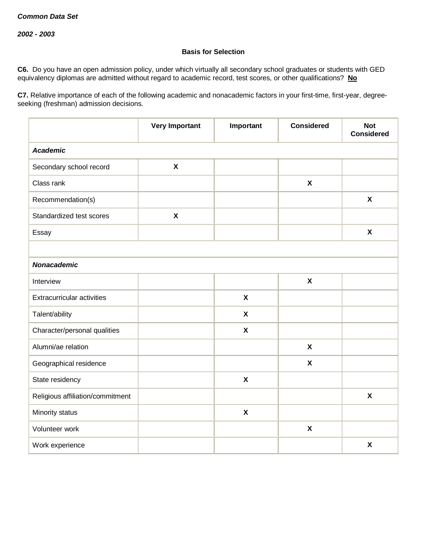# **Basis for Selection**

**C6.** Do you have an open admission policy, under which virtually all secondary school graduates or students with GED equivalency diplomas are admitted without regard to academic record, test scores, or other qualifications? **No**

**C7.** Relative importance of each of the following academic and nonacademic factors in your first-time, first-year, degreeseeking (freshman) admission decisions.

|                                  | <b>Very Important</b>     | Important                 | <b>Considered</b>         | <b>Not</b><br><b>Considered</b> |  |  |  |  |
|----------------------------------|---------------------------|---------------------------|---------------------------|---------------------------------|--|--|--|--|
| <b>Academic</b>                  |                           |                           |                           |                                 |  |  |  |  |
| Secondary school record          | $\boldsymbol{\mathsf{X}}$ |                           |                           |                                 |  |  |  |  |
| Class rank                       |                           |                           | $\boldsymbol{\mathsf{X}}$ |                                 |  |  |  |  |
| Recommendation(s)                |                           |                           |                           | $\boldsymbol{\mathsf{X}}$       |  |  |  |  |
| Standardized test scores         | $\pmb{\chi}$              |                           |                           |                                 |  |  |  |  |
| Essay                            |                           |                           |                           | $\boldsymbol{\mathsf{X}}$       |  |  |  |  |
|                                  |                           |                           |                           |                                 |  |  |  |  |
| <b>Nonacademic</b>               |                           |                           |                           |                                 |  |  |  |  |
| Interview                        |                           |                           | $\pmb{\chi}$              |                                 |  |  |  |  |
| Extracurricular activities       |                           | $\boldsymbol{\mathsf{X}}$ |                           |                                 |  |  |  |  |
| Talent/ability                   |                           | $\boldsymbol{\mathsf{X}}$ |                           |                                 |  |  |  |  |
| Character/personal qualities     |                           | $\boldsymbol{\mathsf{X}}$ |                           |                                 |  |  |  |  |
| Alumni/ae relation               |                           |                           | $\boldsymbol{\mathsf{X}}$ |                                 |  |  |  |  |
| Geographical residence           |                           |                           | $\boldsymbol{\mathsf{X}}$ |                                 |  |  |  |  |
| State residency                  |                           | $\boldsymbol{\mathsf{X}}$ |                           |                                 |  |  |  |  |
| Religious affiliation/commitment |                           |                           |                           | $\boldsymbol{\mathsf{X}}$       |  |  |  |  |
| Minority status                  |                           | $\boldsymbol{\mathsf{X}}$ |                           |                                 |  |  |  |  |
| Volunteer work                   |                           |                           | $\pmb{\chi}$              |                                 |  |  |  |  |
| Work experience                  |                           |                           |                           | $\boldsymbol{\mathsf{X}}$       |  |  |  |  |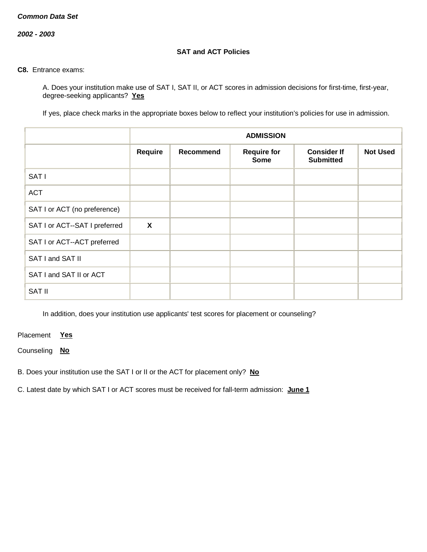*2002 - 2003*

# **SAT and ACT Policies**

#### **C8.** Entrance exams:

A. Does your institution make use of SAT I, SAT II, or ACT scores in admission decisions for first-time, first-year, degree-seeking applicants? **Yes**

If yes, place check marks in the appropriate boxes below to reflect your institution's policies for use in admission.

|                               | <b>ADMISSION</b>          |           |                                   |                                        |                 |
|-------------------------------|---------------------------|-----------|-----------------------------------|----------------------------------------|-----------------|
|                               | Require                   | Recommend | <b>Require for</b><br><b>Some</b> | <b>Consider If</b><br><b>Submitted</b> | <b>Not Used</b> |
| SAT I                         |                           |           |                                   |                                        |                 |
| <b>ACT</b>                    |                           |           |                                   |                                        |                 |
| SAT I or ACT (no preference)  |                           |           |                                   |                                        |                 |
| SAT I or ACT--SAT I preferred | $\boldsymbol{\mathsf{X}}$ |           |                                   |                                        |                 |
| SAT I or ACT--ACT preferred   |                           |           |                                   |                                        |                 |
| SAT I and SAT II              |                           |           |                                   |                                        |                 |
| SAT I and SAT II or ACT       |                           |           |                                   |                                        |                 |
| <b>SAT II</b>                 |                           |           |                                   |                                        |                 |

In addition, does your institution use applicants' test scores for placement or counseling?

Placement **Yes**

Counseling **No**

B. Does your institution use the SAT I or II or the ACT for placement only? **No**

C. Latest date by which SAT I or ACT scores must be received for fall-term admission: **June 1**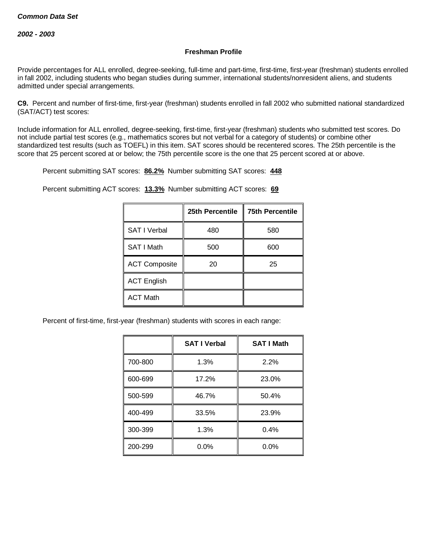# **Freshman Profile**

Provide percentages for ALL enrolled, degree-seeking, full-time and part-time, first-time, first-year (freshman) students enrolled in fall 2002, including students who began studies during summer, international students/nonresident aliens, and students admitted under special arrangements.

**C9.** Percent and number of first-time, first-year (freshman) students enrolled in fall 2002 who submitted national standardized (SAT/ACT) test scores:

Include information for ALL enrolled, degree-seeking, first-time, first-year (freshman) students who submitted test scores. Do not include partial test scores (e.g., mathematics scores but not verbal for a category of students) or combine other standardized test results (such as TOEFL) in this item. SAT scores should be recentered scores. The 25th percentile is the score that 25 percent scored at or below; the 75th percentile score is the one that 25 percent scored at or above.

Percent submitting SAT scores: **86.2%** Number submitting SAT scores: **448**

Percent submitting ACT scores: **13.3%** Number submitting ACT scores: **69**

|                      | 25th Percentile | <b>75th Percentile</b> |
|----------------------|-----------------|------------------------|
| <b>SAT I Verbal</b>  | 480             | 580                    |
| SAT I Math           | 500             | 600                    |
| <b>ACT Composite</b> | 20              | 25                     |
| <b>ACT English</b>   |                 |                        |
| <b>ACT Math</b>      |                 |                        |

Percent of first-time, first-year (freshman) students with scores in each range:

|         | <b>SAT I Verbal</b> | <b>SAT I Math</b> |
|---------|---------------------|-------------------|
| 700-800 | 1.3%                | 2.2%              |
| 600-699 | 17.2%               | 23.0%             |
| 500-599 | 46.7%               | 50.4%             |
| 400-499 | 33.5%               | 23.9%             |
| 300-399 | 1.3%                | 0.4%              |
| 200-299 | $0.0\%$             | 0.0%              |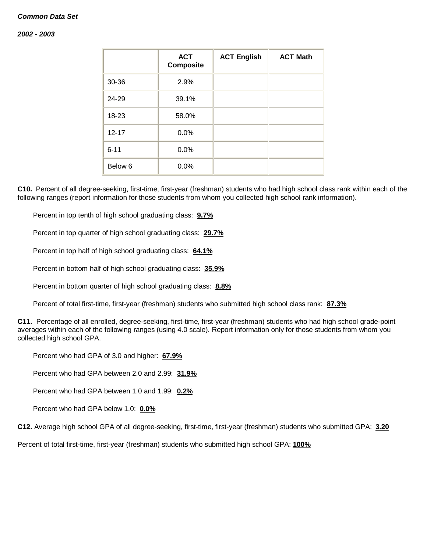#### *2002 - 2003*

|                    | <b>ACT</b><br><b>Composite</b> | <b>ACT English</b> | <b>ACT Math</b> |
|--------------------|--------------------------------|--------------------|-----------------|
| 30-36              | 2.9%                           |                    |                 |
| 24-29              | 39.1%                          |                    |                 |
| 18-23              | 58.0%                          |                    |                 |
| $12 - 17$          | 0.0%                           |                    |                 |
| $6 - 11$           | 0.0%                           |                    |                 |
| Below <sub>6</sub> | 0.0%                           |                    |                 |

**C10.** Percent of all degree-seeking, first-time, first-year (freshman) students who had high school class rank within each of the following ranges (report information for those students from whom you collected high school rank information).

Percent in top tenth of high school graduating class: **9.7%**

Percent in top quarter of high school graduating class: **29.7%**

Percent in top half of high school graduating class: **64.1%**

Percent in bottom half of high school graduating class: **35.9%**

Percent in bottom quarter of high school graduating class: **8.8%**

Percent of total first-time, first-year (freshman) students who submitted high school class rank: **87.3%**

**C11.** Percentage of all enrolled, degree-seeking, first-time, first-year (freshman) students who had high school grade-point averages within each of the following ranges (using 4.0 scale). Report information only for those students from whom you collected high school GPA.

Percent who had GPA of 3.0 and higher: **67.9%**

Percent who had GPA between 2.0 and 2.99: **31.9%**

Percent who had GPA between 1.0 and 1.99: **0.2%**

Percent who had GPA below 1.0: **0.0%**

**C12.** Average high school GPA of all degree-seeking, first-time, first-year (freshman) students who submitted GPA: **3.20**

Percent of total first-time, first-year (freshman) students who submitted high school GPA: **100%**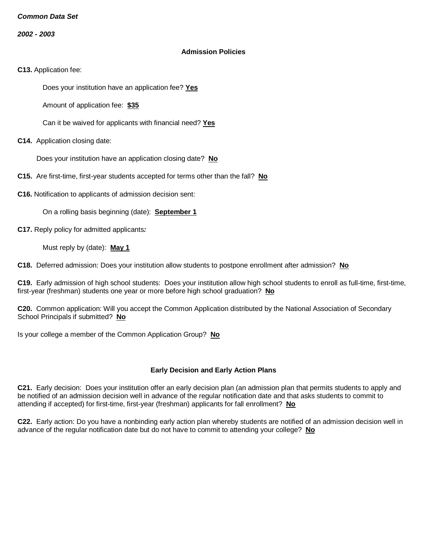*2002 - 2003*

#### **Admission Policies**

**C13.** Application fee:

Does your institution have an application fee? **Yes**

Amount of application fee: **\$35**

Can it be waived for applicants with financial need? **Yes**

**C14.** Application closing date:

Does your institution have an application closing date? **No**

**C15.** Are first-time, first-year students accepted for terms other than the fall? **No**

**C16.** Notification to applicants of admission decision sent:

On a rolling basis beginning (date): **September 1**

**C17.** Reply policy for admitted applicants*:*

Must reply by (date): **May 1**

**C18.** Deferred admission: Does your institution allow students to postpone enrollment after admission? **No**

**C19.** Early admission of high school students: Does your institution allow high school students to enroll as full-time, first-time, first-year (freshman) students one year or more before high school graduation? **No**

**C20.** Common application: Will you accept the Common Application distributed by the National Association of Secondary School Principals if submitted? **No**

Is your college a member of the Common Application Group? **No**

# **Early Decision and Early Action Plans**

**C21.** Early decision: Does your institution offer an early decision plan (an admission plan that permits students to apply and be notified of an admission decision well in advance of the regular notification date and that asks students to commit to attending if accepted) for first-time, first-year (freshman) applicants for fall enrollment? **No**

**C22.** Early action: Do you have a nonbinding early action plan whereby students are notified of an admission decision well in advance of the regular notification date but do not have to commit to attending your college? **No**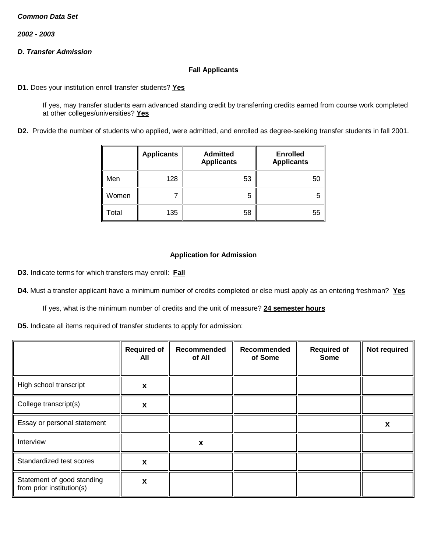*2002 - 2003*

# *D. Transfer Admission*

### **Fall Applicants**

**D1.** Does your institution enroll transfer students? **Yes**

If yes, may transfer students earn advanced standing credit by transferring credits earned from course work completed at other colleges/universities? **Yes**

**D2.** Provide the number of students who applied, were admitted, and enrolled as degree-seeking transfer students in fall 2001.

|       | <b>Applicants</b> | <b>Admitted</b><br><b>Applicants</b> | <b>Enrolled</b><br><b>Applicants</b> |
|-------|-------------------|--------------------------------------|--------------------------------------|
| Men   | 128               | 53                                   | 50                                   |
| Women |                   | 5                                    | 5                                    |
| Total | 135               | 58                                   | 55                                   |

# **Application for Admission**

**D3.** Indicate terms for which transfers may enroll: **Fall**

**D4.** Must a transfer applicant have a minimum number of credits completed or else must apply as an entering freshman? **Yes**

If yes, what is the minimum number of credits and the unit of measure? **24 semester hours**

**D5.** Indicate all items required of transfer students to apply for admission:

|                                                         | <b>Required of</b><br>All | Recommended<br>of All | Recommended<br>of Some | <b>Required of</b><br><b>Some</b> | Not required |
|---------------------------------------------------------|---------------------------|-----------------------|------------------------|-----------------------------------|--------------|
| High school transcript                                  | X                         |                       |                        |                                   |              |
| College transcript(s)                                   | X                         |                       |                        |                                   |              |
| Essay or personal statement                             |                           |                       |                        |                                   | X            |
| Interview                                               |                           | X                     |                        |                                   |              |
| Standardized test scores                                | X                         |                       |                        |                                   |              |
| Statement of good standing<br>from prior institution(s) | X                         |                       |                        |                                   |              |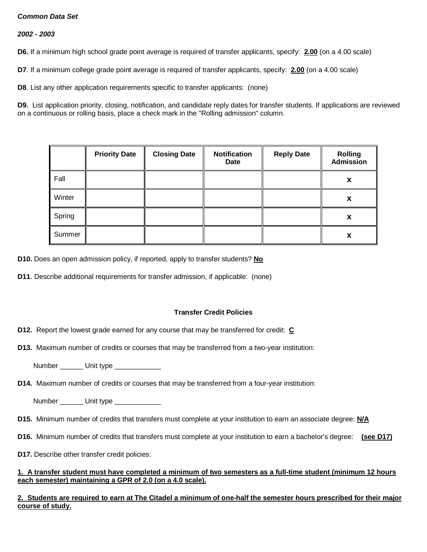## *2002 - 2003*

**D6.** If a minimum high school grade point average is required of transfer applicants, specify: **2.00** (on a 4.00 scale)

**D7**. If a minimum college grade point average is required of transfer applicants, specify: **2.00** (on a 4.00 scale)

**D8**. List any other application requirements specific to transfer applicants: (none)

**D9.** List application priority, closing, notification, and candidate reply dates for transfer students. If applications are reviewed on a continuous or rolling basis, place a check mark in the "Rolling admission" column.

|        | <b>Priority Date</b> | <b>Closing Date</b> | <b>Notification</b><br>Date | <b>Reply Date</b> | <b>Rolling</b><br><b>Admission</b> |
|--------|----------------------|---------------------|-----------------------------|-------------------|------------------------------------|
| Fall   |                      |                     |                             |                   | X                                  |
| Winter |                      |                     |                             |                   | X                                  |
| Spring |                      |                     |                             |                   | X                                  |
| Summer |                      |                     |                             |                   | X                                  |

**D10.** Does an open admission policy, if reported, apply to transfer students? **No**

**D11**. Describe additional requirements for transfer admission, if applicable: (none)

# **Transfer Credit Policies**

**D12.** Report the lowest grade earned for any course that may be transferred for credit: **C**

**D13.** Maximum number of credits or courses that may be transferred from a two-year institution:

Number \_\_\_\_\_\_ Unit type \_\_\_\_\_\_\_\_\_\_

**D14.** Maximum number of credits or courses that may be transferred from a four-year institution:

Number \_\_\_\_\_\_\_\_ Unit type \_\_\_\_\_\_\_\_\_\_\_\_\_\_

- **D15.** Minimum number of credits that transfers must complete at your institution to earn an associate degree: **N/A**
- **D16.** Minimum number of credits that transfers must complete at your institution to earn a bachelor's degree: **(see D17)**
- **D17.** Describe other transfer credit policies:

#### **1. A transfer student must have completed a minimum of two semesters as a full-time student (minimum 12 hours each semester) maintaining a GPR of 2.0 (on a 4.0 scale).**

**2. Students are required to earn at The Citadel a minimum of one-half the semester hours prescribed for their major course of study.**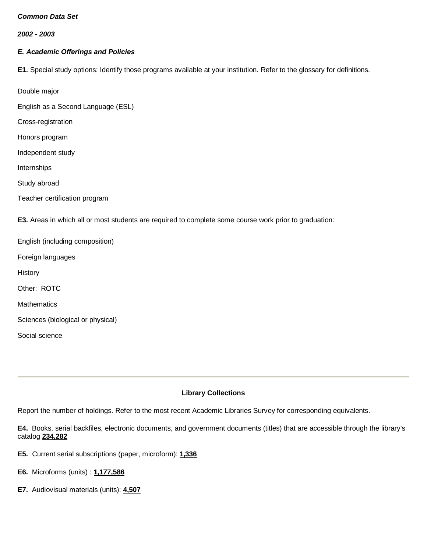*2002 - 2003*

# *E. Academic Offerings and Policies*

**E1.** Special study options: Identify those programs available at your institution. Refer to the glossary for definitions.

Double major

English as a Second Language (ESL)

Cross-registration

Honors program

Independent study

Internships

Study abroad

Social science

Teacher certification program

**E3.** Areas in which all or most students are required to complete some course work prior to graduation:

English (including composition) Foreign languages **History** Other: ROTC **Mathematics** Sciences (biological or physical)

**Library Collections**

Report the number of holdings. Refer to the most recent Academic Libraries Survey for corresponding equivalents.

**E4.** Books, serial backfiles, electronic documents, and government documents (titles) that are accessible through the library's catalog **234,282**

- **E5.** Current serial subscriptions (paper, microform): **1,336**
- **E6.** Microforms (units) : **1,177,586**
- **E7.** Audiovisual materials (units): **4,507**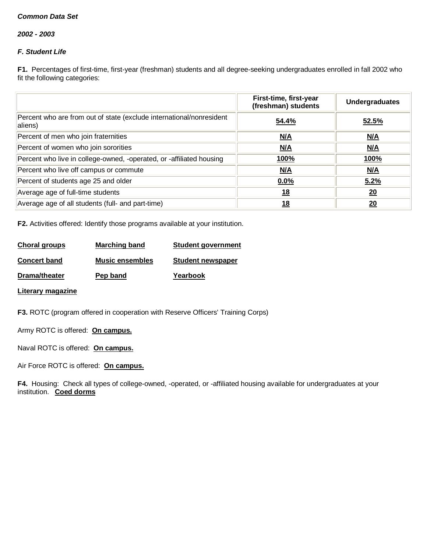*2002 - 2003*

# *F. Student Life*

**F1.** Percentages of first-time, first-year (freshman) students and all degree-seeking undergraduates enrolled in fall 2002 who fit the following categories:

|                                                                                 | First-time, first-year<br>(freshman) students | <b>Undergraduates</b> |
|---------------------------------------------------------------------------------|-----------------------------------------------|-----------------------|
| Percent who are from out of state (exclude international/nonresident<br>aliens) | 54.4%                                         | 52.5%                 |
| Percent of men who join fraternities                                            | N/A                                           | M/A                   |
| Percent of women who join sororities                                            | N/A                                           | N/A                   |
| Percent who live in college-owned, -operated, or -affiliated housing            | <u>100%</u>                                   | <u>100%</u>           |
| Percent who live off campus or commute                                          | M/A                                           | M/A                   |
| Percent of students age 25 and older                                            | $0.0\%$                                       | 5.2%                  |
| Average age of full-time students                                               | <u>18</u>                                     | 20                    |
| Average age of all students (full- and part-time)                               | 18                                            | 20                    |

**F2.** Activities offered: Identify those programs available at your institution.

| Choral groups       | <b>Marching band</b>   | <b>Student government</b> |
|---------------------|------------------------|---------------------------|
| <b>Concert band</b> | <b>Music ensembles</b> | <b>Student newspaper</b>  |
| Drama/theater       | Pep band               | Yearbook                  |

**Literary magazine**

**F3.** ROTC (program offered in cooperation with Reserve Officers' Training Corps)

Army ROTC is offered: **On campus.**

Naval ROTC is offered: **On campus.**

Air Force ROTC is offered: **On campus.**

**F4.** Housing: Check all types of college-owned, -operated, or -affiliated housing available for undergraduates at your institution. **Coed dorms**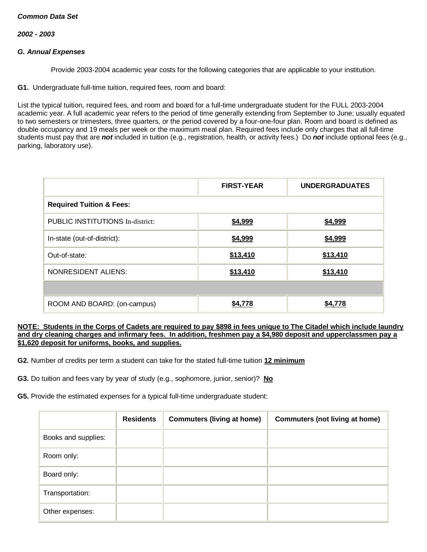#### *2002 - 2003*

### *G. Annual Expenses*

Provide 2003-2004 academic year costs for the following categories that are applicable to your institution.

**G1.** Undergraduate full-time tuition, required fees, room and board:

List the typical tuition, required fees, and room and board for a full-time undergraduate student for the FULL 2003-2004 academic year. A full academic year refers to the period of time generally extending from September to June; usually equated to two semesters or trimesters, three quarters, or the period covered by a four-one-four plan. Room and board is defined as double occupancy and 19 meals per week or the maximum meal plan. Required fees include only charges that all full-time students must pay that are *not* included in tuition (e.g., registration, health, or activity fees.) Do *not* include optional fees (e.g., parking, laboratory use).

|                                         | <b>FIRST-YEAR</b> | <b>UNDERGRADUATES</b> |
|-----------------------------------------|-------------------|-----------------------|
| <b>Required Tuition &amp; Fees:</b>     |                   |                       |
| <b>PUBLIC INSTITUTIONS In-district:</b> | \$4,999           | \$4,999               |
| In-state (out-of-district):             | \$4,999           | \$4,999               |
| Out-of-state:                           | \$13,410          | \$13,410              |
| <b>NONRESIDENT ALIENS:</b>              | \$13,410          | \$13,410              |
|                                         |                   |                       |
| ROOM AND BOARD: (on-campus)             | \$4,778           | \$4,778               |

#### **NOTE: Students in the Corps of Cadets are required to pay \$898 in fees unique to The Citadel which include laundry and dry cleaning charges and infirmary fees. In addition, freshmen pay a \$4,980 deposit and upperclassmen pay a \$1,620 deposit for uniforms, books, and supplies.**

**G2.** Number of credits per term a student can take for the stated full-time tuition **12 minimum**

**G3.** Do tuition and fees vary by year of study (e.g., sophomore, junior, senior)? **No**

**G5.** Provide the estimated expenses for a typical full-time undergraduate student:

|                     | <b>Residents</b> | <b>Commuters (living at home)</b> | <b>Commuters (not living at home)</b> |
|---------------------|------------------|-----------------------------------|---------------------------------------|
| Books and supplies: |                  |                                   |                                       |
| Room only:          |                  |                                   |                                       |
| Board only:         |                  |                                   |                                       |
| Transportation:     |                  |                                   |                                       |
| Other expenses:     |                  |                                   |                                       |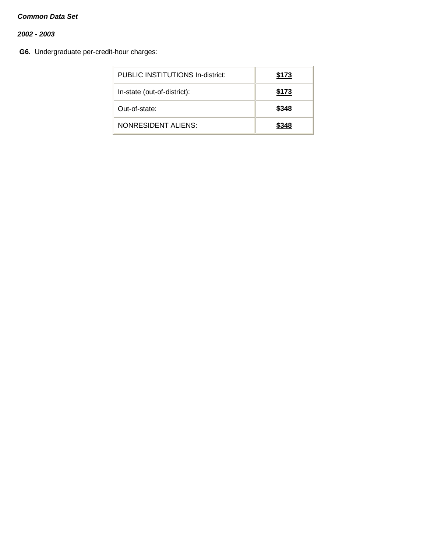# *2002 - 2003*

**G6.** Undergraduate per-credit-hour charges:

| PUBLIC INSTITUTIONS In-district: | \$173 |
|----------------------------------|-------|
| In-state (out-of-district):      | \$173 |
| Out-of-state:                    | \$348 |
| NONRESIDENT ALIENS:              | \$348 |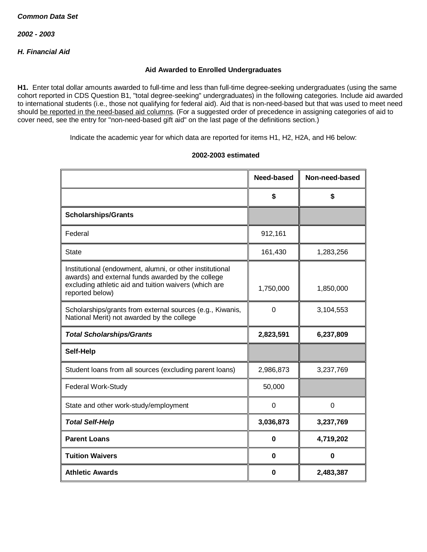# *H. Financial Aid*

### **Aid Awarded to Enrolled Undergraduates**

**H1.** Enter total dollar amounts awarded to full-time and less than full-time degree-seeking undergraduates (using the same cohort reported in CDS Question B1, "total degree-seeking" undergraduates) in the following categories. Include aid awarded to international students (i.e., those not qualifying for federal aid). Aid that is non-need-based but that was used to meet need should be reported in the need-based aid columns. (For a suggested order of precedence in assigning categories of aid to cover need, see the entry for "non-need-based gift aid" on the last page of the definitions section.)

Indicate the academic year for which data are reported for items H1, H2, H2A, and H6 below:

|                                                                                                                                                                                           | <b>Need-based</b> | Non-need-based |
|-------------------------------------------------------------------------------------------------------------------------------------------------------------------------------------------|-------------------|----------------|
|                                                                                                                                                                                           | \$                | \$             |
| <b>Scholarships/Grants</b>                                                                                                                                                                |                   |                |
| Federal                                                                                                                                                                                   | 912,161           |                |
| <b>State</b>                                                                                                                                                                              | 161,430           | 1,283,256      |
| Institutional (endowment, alumni, or other institutional<br>awards) and external funds awarded by the college<br>excluding athletic aid and tuition waivers (which are<br>reported below) | 1,750,000         | 1,850,000      |
| Scholarships/grants from external sources (e.g., Kiwanis,<br>National Merit) not awarded by the college                                                                                   | 0                 | 3,104,553      |
| <b>Total Scholarships/Grants</b>                                                                                                                                                          | 2,823,591         | 6,237,809      |
| Self-Help                                                                                                                                                                                 |                   |                |
| Student loans from all sources (excluding parent loans)                                                                                                                                   | 2,986,873         | 3,237,769      |
| <b>Federal Work-Study</b>                                                                                                                                                                 | 50,000            |                |
| State and other work-study/employment                                                                                                                                                     | $\mathbf 0$       | $\overline{0}$ |
| <b>Total Self-Help</b>                                                                                                                                                                    | 3,036,873         | 3,237,769      |
| <b>Parent Loans</b>                                                                                                                                                                       | 0                 | 4,719,202      |
| <b>Tuition Waivers</b>                                                                                                                                                                    | 0                 | $\bf{0}$       |
| <b>Athletic Awards</b>                                                                                                                                                                    | 0                 | 2,483,387      |

#### **2002-2003 estimated**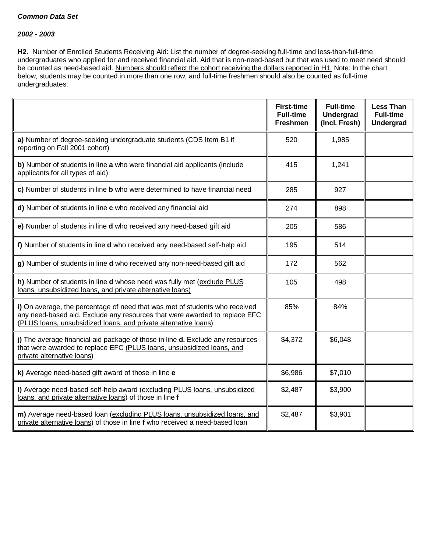#### *2002 - 2003*

**H2.** Number of Enrolled Students Receiving Aid: List the number of degree-seeking full-time and less-than-full-time undergraduates who applied for and received financial aid. Aid that is non-need-based but that was used to meet need should be counted as need-based aid. Numbers should reflect the cohort receiving the dollars reported in H1. Note: In the chart below, students may be counted in more than one row, and full-time freshmen should also be counted as full-time undergraduates.

|                                                                                                                                                                                                                              | <b>First-time</b><br><b>Full-time</b><br><b>Freshmen</b> | <b>Full-time</b><br>Undergrad<br>(Incl. Fresh) | <b>Less Than</b><br><b>Full-time</b><br><b>Undergrad</b> |
|------------------------------------------------------------------------------------------------------------------------------------------------------------------------------------------------------------------------------|----------------------------------------------------------|------------------------------------------------|----------------------------------------------------------|
| a) Number of degree-seeking undergraduate students (CDS Item B1 if<br>reporting on Fall 2001 cohort)                                                                                                                         | 520                                                      | 1,985                                          |                                                          |
| b) Number of students in line a who were financial aid applicants (include<br>applicants for all types of aid)                                                                                                               | 415                                                      | 1,241                                          |                                                          |
| c) Number of students in line b who were determined to have financial need                                                                                                                                                   | 285                                                      | 927                                            |                                                          |
| d) Number of students in line c who received any financial aid                                                                                                                                                               | 274                                                      | 898                                            |                                                          |
| e) Number of students in line d who received any need-based gift aid                                                                                                                                                         | 205                                                      | 586                                            |                                                          |
| f) Number of students in line d who received any need-based self-help aid                                                                                                                                                    | 195                                                      | 514                                            |                                                          |
| g) Number of students in line d who received any non-need-based gift aid                                                                                                                                                     | 172                                                      | 562                                            |                                                          |
| h) Number of students in line d whose need was fully met (exclude PLUS<br>loans, unsubsidized loans, and private alternative loans)                                                                                          | 105                                                      | 498                                            |                                                          |
| i) On average, the percentage of need that was met of students who received<br>any need-based aid. Exclude any resources that were awarded to replace EFC<br>(PLUS loans, unsubsidized loans, and private alternative loans) | 85%                                                      | 84%                                            |                                                          |
| j) The average financial aid package of those in line d. Exclude any resources<br>that were awarded to replace EFC (PLUS loans, unsubsidized loans, and<br>private alternative loans)                                        | \$4,372                                                  | \$6,048                                        |                                                          |
| k) Average need-based gift award of those in line e                                                                                                                                                                          | \$6,986                                                  | \$7,010                                        |                                                          |
| I) Average need-based self-help award (excluding PLUS loans, unsubsidized<br>loans, and private alternative loans) of those in line f                                                                                        | \$2,487                                                  | \$3,900                                        |                                                          |
| m) Average need-based loan (excluding PLUS loans, unsubsidized loans, and<br>private alternative loans) of those in line f who received a need-based loan                                                                    | \$2,487                                                  | \$3,901                                        |                                                          |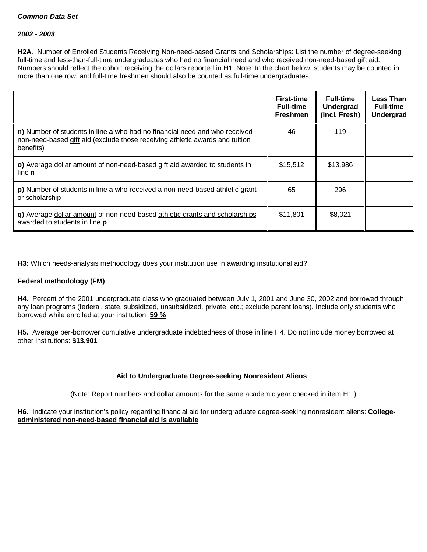#### *2002 - 2003*

**H2A.** Number of Enrolled Students Receiving Non-need-based Grants and Scholarships: List the number of degree-seeking full-time and less-than-full-time undergraduates who had no financial need and who received non-need-based gift aid. Numbers should reflect the cohort receiving the dollars reported in H1. Note: In the chart below, students may be counted in more than one row, and full-time freshmen should also be counted as full-time undergraduates.

|                                                                                                                                                                         | <b>First-time</b><br><b>Full-time</b><br><b>Freshmen</b> | <b>Full-time</b><br>Undergrad<br>(Incl. Fresh) | <b>Less Than</b><br><b>Full-time</b><br><b>Undergrad</b> |
|-------------------------------------------------------------------------------------------------------------------------------------------------------------------------|----------------------------------------------------------|------------------------------------------------|----------------------------------------------------------|
| n) Number of students in line a who had no financial need and who received<br>non-need-based gift aid (exclude those receiving athletic awards and tuition<br>benefits) | 46                                                       | 119                                            |                                                          |
| o) Average dollar amount of non-need-based gift aid awarded to students in<br>line <b>n</b>                                                                             | \$15,512                                                 | \$13,986                                       |                                                          |
| p) Number of students in line a who received a non-need-based athletic grant<br>or scholarship                                                                          | 65                                                       | 296                                            |                                                          |
| q) Average dollar amount of non-need-based athletic grants and scholarships<br>awarded to students in line p                                                            | \$11,801                                                 | \$8,021                                        |                                                          |

**H3:** Which needs-analysis methodology does your institution use in awarding institutional aid?

# **Federal methodology (FM)**

**H4.** Percent of the 2001 undergraduate class who graduated between July 1, 2001 and June 30, 2002 and borrowed through any loan programs (federal, state, subsidized, unsubsidized, private, etc.; exclude parent loans). Include only students who borrowed while enrolled at your institution. **59 %**

**H5.** Average per-borrower cumulative undergraduate indebtedness of those in line H4. Do not include money borrowed at other institutions: **\$13,901**

# **Aid to Undergraduate Degree-seeking Nonresident Aliens**

(Note: Report numbers and dollar amounts for the same academic year checked in item H1.)

**H6.** Indicate your institution's policy regarding financial aid for undergraduate degree-seeking nonresident aliens: **Collegeadministered non-need-based financial aid is available**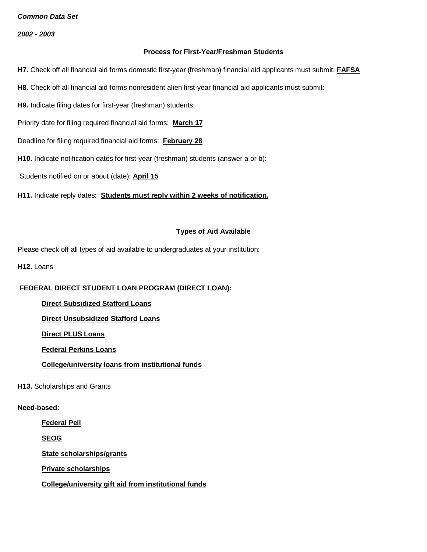*2002 - 2003*

#### **Process for First-Year/Freshman Students**

**H7.** Check off all financial aid forms domestic first-year (freshman) financial aid applicants must submit: **FAFSA**

- **H8.** Check off all financial aid forms nonresident alien first-year financial aid applicants must submit:
- **H9.** Indicate filing dates for first-year (freshman) students:

Priority date for filing required financial aid forms: **March 17**

- Deadline for filing required financial aid forms: **February 28**
- **H10.** Indicate notification dates for first-year (freshman) students (answer a or b):

Students notified on or about (date): **April 15**

**H11.** Indicate reply dates: **Students must reply within 2 weeks of notification.**

#### **Types of Aid Available**

Please check off all types of aid available to undergraduates at your institution:

**H12. Loans** 

# **FEDERAL DIRECT STUDENT LOAN PROGRAM (DIRECT LOAN):**

**Direct Subsidized Stafford Loans**

**Direct Unsubsidized Stafford Loans**

**Direct PLUS Loans**

**Federal Perkins Loans**

**College/university loans from institutional funds**

**H13.** Scholarships and Grants

## **Need-based:**

**Federal Pell**

**SEOG**

**State scholarships/grants**

**Private scholarships**

**College/university gift aid from institutional funds**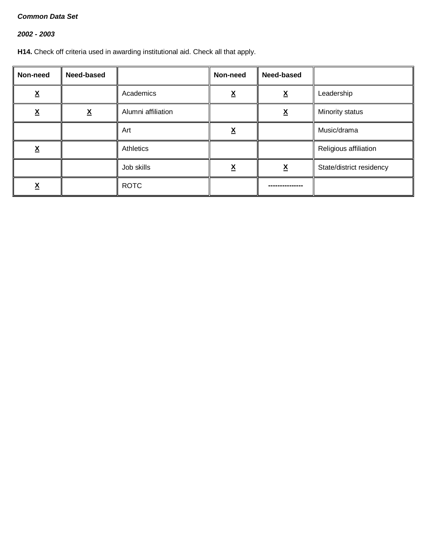# *2002 - 2003*

**H14.** Check off criteria used in awarding institutional aid. Check all that apply.

| Non-need                 | Need-based               |                    | Non-need                 | Need-based               |                          |
|--------------------------|--------------------------|--------------------|--------------------------|--------------------------|--------------------------|
| v<br><u>Δ</u>            |                          | Academics          | $\checkmark$<br><u>л</u> | $\underline{\mathbf{X}}$ | Leadership               |
| $\underline{\mathsf{X}}$ | $\underline{\mathsf{X}}$ | Alumni affiliation |                          | <u>x</u>                 | Minority status          |
|                          |                          | Art                | <u>x</u>                 |                          | Music/drama              |
| v<br><u>л</u>            |                          | Athletics          |                          |                          | Religious affiliation    |
|                          |                          | Job skills         | ᅀ                        | $\underline{\mathbf{X}}$ | State/district residency |
| <u>л</u>                 |                          | <b>ROTC</b>        |                          |                          |                          |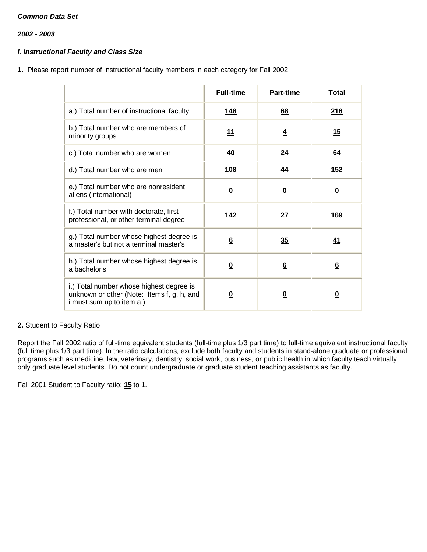*2002 - 2003*

# *I. Instructional Faculty and Class Size*

**1.** Please report number of instructional faculty members in each category for Fall 2002.

|                                                                                                                            | <b>Full-time</b>        | Part-time               | <b>Total</b>            |
|----------------------------------------------------------------------------------------------------------------------------|-------------------------|-------------------------|-------------------------|
| a.) Total number of instructional faculty                                                                                  | <u>148</u>              | <u>68</u>               | 216                     |
| b.) Total number who are members of<br>minority groups                                                                     | <u> 11</u>              | $\overline{4}$          | <u>15</u>               |
| c.) Total number who are women                                                                                             | 40                      | 24                      | <u>64</u>               |
| d.) Total number who are men                                                                                               | <u>108</u>              | <u>44</u>               | <u>152</u>              |
| e.) Total number who are nonresident<br>aliens (international)                                                             | $\overline{\mathbf{0}}$ | $\overline{\mathbf{0}}$ | $\overline{\mathbf{0}}$ |
| f.) Total number with doctorate, first<br>professional, or other terminal degree                                           | <u> 142</u>             | 27                      | <u>169</u>              |
| g.) Total number whose highest degree is<br>a master's but not a terminal master's                                         | $6\overline{6}$         | 35                      | <u>41</u>               |
| h.) Total number whose highest degree is<br>a bachelor's                                                                   | $\overline{\mathbf{0}}$ | $6\overline{6}$         | $6\overline{6}$         |
| i.) Total number whose highest degree is<br>unknown or other (Note: Items f, g, h, and<br><i>i</i> must sum up to item a.) | <u>0</u>                | $\overline{\mathbf{0}}$ | $\overline{\mathbf{0}}$ |

# **2.** Student to Faculty Ratio

Report the Fall 2002 ratio of full-time equivalent students (full-time plus 1/3 part time) to full-time equivalent instructional faculty (full time plus 1/3 part time). In the ratio calculations, exclude both faculty and students in stand-alone graduate or professional programs such as medicine, law, veterinary, dentistry, social work, business, or public health in which faculty teach virtually only graduate level students. Do not count undergraduate or graduate student teaching assistants as faculty.

Fall 2001 Student to Faculty ratio: **15** to 1.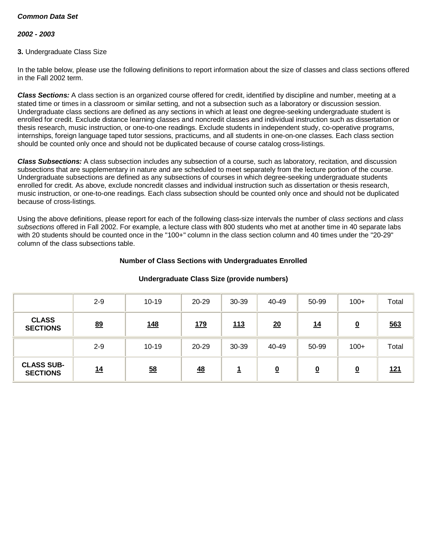### *2002 - 2003*

### **3.** Undergraduate Class Size

In the table below, please use the following definitions to report information about the size of classes and class sections offered in the Fall 2002 term.

*Class Sections:* A class section is an organized course offered for credit, identified by discipline and number, meeting at a stated time or times in a classroom or similar setting, and not a subsection such as a laboratory or discussion session. Undergraduate class sections are defined as any sections in which at least one degree-seeking undergraduate student is enrolled for credit. Exclude distance learning classes and noncredit classes and individual instruction such as dissertation or thesis research, music instruction, or one-to-one readings. Exclude students in independent study, co-operative programs, internships, foreign language taped tutor sessions, practicums, and all students in one-on-one classes. Each class section should be counted only once and should not be duplicated because of course catalog cross-listings.

*Class Subsections:* A class subsection includes any subsection of a course, such as laboratory, recitation, and discussion subsections that are supplementary in nature and are scheduled to meet separately from the lecture portion of the course. Undergraduate subsections are defined as any subsections of courses in which degree-seeking undergraduate students enrolled for credit. As above, exclude noncredit classes and individual instruction such as dissertation or thesis research, music instruction, or one-to-one readings. Each class subsection should be counted only once and should not be duplicated because of cross-listings.

Using the above definitions, please report for each of the following class-size intervals the number of *class sections* and *class subsections* offered in Fall 2002. For example, a lecture class with 800 students who met at another time in 40 separate labs with 20 students should be counted once in the "100+" column in the class section column and 40 times under the "20-29" column of the class subsections table.

#### **Number of Class Sections with Undergraduates Enrolled**

|                                      | $2 - 9$ | $10 - 19$        | 20-29      | 30-39    | 40-49                    | 50-99                   | $100+$   | Total      |
|--------------------------------------|---------|------------------|------------|----------|--------------------------|-------------------------|----------|------------|
| <b>CLASS</b><br><b>SECTIONS</b>      | 89      | <u>148</u>       | <u>179</u> | 113      | 20                       | 14                      | <u>0</u> | 563        |
|                                      | $2 - 9$ | $10 - 19$        | 20-29      | 30-39    | 40-49                    | 50-99                   | $100+$   | Total      |
| <b>CLASS SUB-</b><br><b>SECTIONS</b> | 14      | $\underline{58}$ | 48         | 1<br>مست | $\underline{\mathbf{0}}$ | $\overline{\mathbf{0}}$ | <u>0</u> | <u>121</u> |

#### **Undergraduate Class Size (provide numbers)**